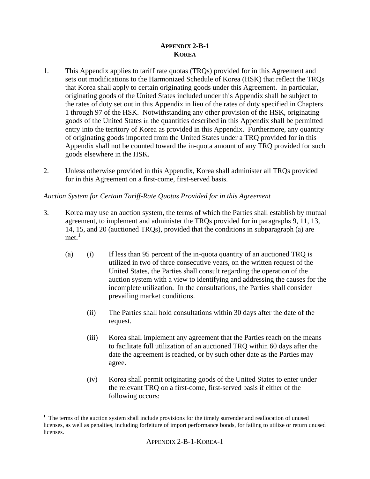# **APPENDIX 2-B-1 KOREA**

- 1. This Appendix applies to tariff rate quotas (TRQs) provided for in this Agreement and sets out modifications to the Harmonized Schedule of Korea (HSK) that reflect the TRQs that Korea shall apply to certain originating goods under this Agreement. In particular, originating goods of the United States included under this Appendix shall be subject to the rates of duty set out in this Appendix in lieu of the rates of duty specified in Chapters 1 through 97 of the HSK. Notwithstanding any other provision of the HSK, originating goods of the United States in the quantities described in this Appendix shall be permitted entry into the territory of Korea as provided in this Appendix. Furthermore, any quantity of originating goods imported from the United States under a TRQ provided for in this Appendix shall not be counted toward the in-quota amount of any TRQ provided for such goods elsewhere in the HSK.
- 2. Unless otherwise provided in this Appendix, Korea shall administer all TRQs provided for in this Agreement on a first-come, first-served basis.

# *Auction System for Certain Tariff-Rate Quotas Provided for in this Agreement*

- 3. Korea may use an auction system, the terms of which the Parties shall establish by mutual agreement, to implement and administer the TRQs provided for in paragraphs 9, 11, 13, 14, 15, and 20 (auctioned TRQs), provided that the conditions in subparagraph (a) are  $met.$ <sup>[1](#page-0-0)</sup>
	- (a) (i) If less than 95 percent of the in-quota quantity of an auctioned TRQ is utilized in two of three consecutive years, on the written request of the United States, the Parties shall consult regarding the operation of the auction system with a view to identifying and addressing the causes for the incomplete utilization. In the consultations, the Parties shall consider prevailing market conditions.
		- (ii) The Parties shall hold consultations within 30 days after the date of the request.
		- (iii) Korea shall implement any agreement that the Parties reach on the means to facilitate full utilization of an auctioned TRQ within 60 days after the date the agreement is reached, or by such other date as the Parties may agree.
		- (iv) Korea shall permit originating goods of the United States to enter under the relevant TRQ on a first-come, first-served basis if either of the following occurs:

<span id="page-0-0"></span> $\overline{a}$  $<sup>1</sup>$  The terms of the auction system shall include provisions for the timely surrender and reallocation of unused</sup> licenses, as well as penalties, including forfeiture of import performance bonds, for failing to utilize or return unused licenses.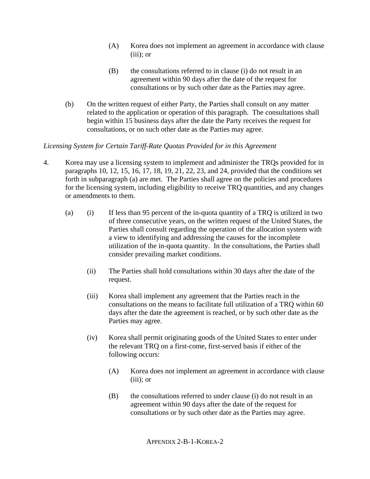- (A) Korea does not implement an agreement in accordance with clause  $(iii)$ ; or
- (B) the consultations referred to in clause (i) do not result in an agreement within 90 days after the date of the request for consultations or by such other date as the Parties may agree.
- (b) On the written request of either Party, the Parties shall consult on any matter related to the application or operation of this paragraph. The consultations shall begin within 15 business days after the date the Party receives the request for consultations, or on such other date as the Parties may agree.

# *Licensing System for Certain Tariff-Rate Quotas Provided for in this Agreement*

- 4. Korea may use a licensing system to implement and administer the TRQs provided for in paragraphs 10, 12, 15, 16, 17, 18, 19, 21, 22, 23, and 24, provided that the conditions set forth in subparagraph (a) are met. The Parties shall agree on the policies and procedures for the licensing system, including eligibility to receive TRQ quantities, and any changes or amendments to them.
	- (a) (i) If less than 95 percent of the in-quota quantity of a TRQ is utilized in two of three consecutive years, on the written request of the United States, the Parties shall consult regarding the operation of the allocation system with a view to identifying and addressing the causes for the incomplete utilization of the in-quota quantity. In the consultations, the Parties shall consider prevailing market conditions.
		- (ii) The Parties shall hold consultations within 30 days after the date of the request.
		- (iii) Korea shall implement any agreement that the Parties reach in the consultations on the means to facilitate full utilization of a TRQ within 60 days after the date the agreement is reached, or by such other date as the Parties may agree.
		- (iv) Korea shall permit originating goods of the United States to enter under the relevant TRQ on a first-come, first-served basis if either of the following occurs:
			- (A) Korea does not implement an agreement in accordance with clause  $(iii)$ ; or
			- (B) the consultations referred to under clause (i) do not result in an agreement within 90 days after the date of the request for consultations or by such other date as the Parties may agree.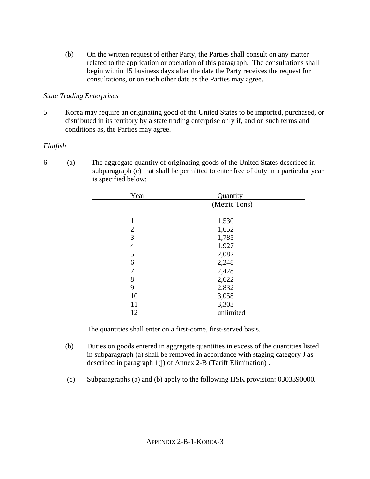(b) On the written request of either Party, the Parties shall consult on any matter related to the application or operation of this paragraph. The consultations shall begin within 15 business days after the date the Party receives the request for consultations, or on such other date as the Parties may agree.

# *State Trading Enterprises*

5. Korea may require an originating good of the United States to be imported, purchased, or distributed in its territory by a state trading enterprise only if, and on such terms and conditions as, the Parties may agree.

# *Flatfish*

6. (a) The aggregate quantity of originating goods of the United States described in subparagraph (c) that shall be permitted to enter free of duty in a particular year is specified below:

| Year           | Quantity      |  |
|----------------|---------------|--|
|                | (Metric Tons) |  |
|                |               |  |
| 1              | 1,530         |  |
| $\overline{2}$ | 1,652         |  |
| 3              | 1,785         |  |
| 4              | 1,927         |  |
| 5              | 2,082         |  |
| 6              | 2,248         |  |
| 7              | 2,428         |  |
| 8              | 2,622         |  |
| 9              | 2,832         |  |
| 10             | 3,058         |  |
| 11             | 3,303         |  |
| 12             | unlimited     |  |

The quantities shall enter on a first-come, first-served basis.

- (b) Duties on goods entered in aggregate quantities in excess of the quantities listed in subparagraph (a) shall be removed in accordance with staging category J as described in paragraph 1(j) of Annex 2-B (Tariff Elimination) .
- (c) Subparagraphs (a) and (b) apply to the following HSK provision: 0303390000.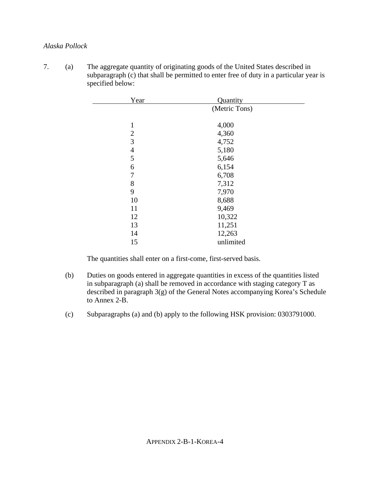# *Alaska Pollock*

7. (a) The aggregate quantity of originating goods of the United States described in subparagraph (c) that shall be permitted to enter free of duty in a particular year is specified below:

| Year           | Quantity      |  |
|----------------|---------------|--|
|                | (Metric Tons) |  |
|                |               |  |
| 1              | 4,000         |  |
| $\overline{2}$ | 4,360         |  |
| 3              | 4,752         |  |
| $\overline{4}$ | 5,180         |  |
| 5              | 5,646         |  |
| 6              | 6,154         |  |
| 7              | 6,708         |  |
| 8              | 7,312         |  |
| 9              | 7,970         |  |
| 10             | 8,688         |  |
| 11             | 9,469         |  |
| 12             | 10,322        |  |
| 13             | 11,251        |  |
| 14             | 12,263        |  |
| 15             | unlimited     |  |

The quantities shall enter on a first-come, first-served basis.

- (b) Duties on goods entered in aggregate quantities in excess of the quantities listed in subparagraph (a) shall be removed in accordance with staging category T as described in paragraph 3(g) of the General Notes accompanying Korea's Schedule to Annex 2-B.
- (c) Subparagraphs (a) and (b) apply to the following HSK provision: 0303791000.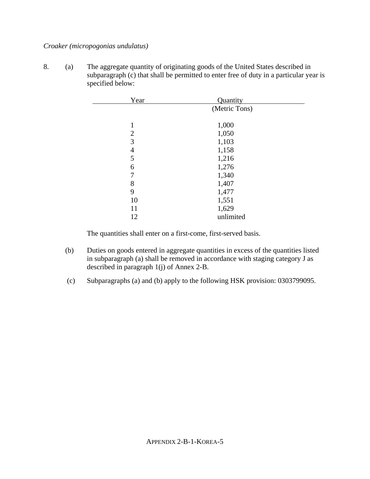# *Croaker (micropogonias undulatus)*

8. (a) The aggregate quantity of originating goods of the United States described in subparagraph (c) that shall be permitted to enter free of duty in a particular year is specified below:

| Year           | Quantity      |  |
|----------------|---------------|--|
|                | (Metric Tons) |  |
|                |               |  |
|                | 1,000         |  |
| $\overline{2}$ | 1,050         |  |
| 3              | 1,103         |  |
| 4              | 1,158         |  |
| 5              | 1,216         |  |
| 6              | 1,276         |  |
| 7              | 1,340         |  |
| 8              | 1,407         |  |
| 9              | 1,477         |  |
| 10             | 1,551         |  |
| 11             | 1,629         |  |
| 12             | unlimited     |  |

The quantities shall enter on a first-come, first-served basis.

- (b) Duties on goods entered in aggregate quantities in excess of the quantities listed in subparagraph (a) shall be removed in accordance with staging category J as described in paragraph 1(j) of Annex 2-B.
- (c) Subparagraphs (a) and (b) apply to the following HSK provision: 0303799095.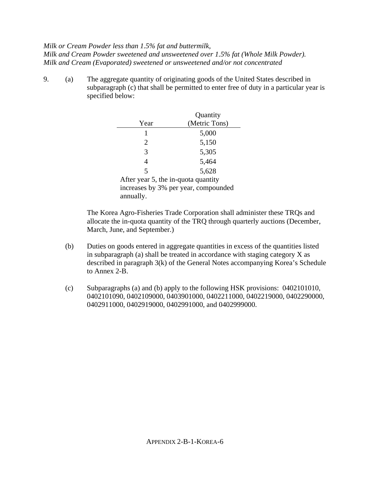# *Milk or Cream Powder less than 1.5% fat and buttermilk,*

*Milk and Cream Powder sweetened and unsweetened over 1.5% fat (Whole Milk Powder). Milk and Cream (Evaporated) sweetened or unsweetened and/or not concentrated* 

9. (a) The aggregate quantity of originating goods of the United States described in subparagraph (c) that shall be permitted to enter free of duty in a particular year is specified below:

|                                     | Quantity      |
|-------------------------------------|---------------|
| Year                                | (Metric Tons) |
|                                     | 5,000         |
| 2                                   | 5,150         |
| 3                                   | 5,305         |
| 4                                   | 5,464         |
| 5                                   | 5,628         |
| After year 5, the in-quota quantity |               |
| $\cdot$ 1 $\Omega$ 1 1              |               |

increases by 3% per year, compounded annually.

The Korea Agro-Fisheries Trade Corporation shall administer these TRQs and allocate the in-quota quantity of the TRQ through quarterly auctions (December, March, June, and September.)

- (b) Duties on goods entered in aggregate quantities in excess of the quantities listed in subparagraph (a) shall be treated in accordance with staging category X as described in paragraph 3(k) of the General Notes accompanying Korea's Schedule to Annex 2-B.
- (c) Subparagraphs (a) and (b) apply to the following HSK provisions: 0402101010, 0402101090, 0402109000, 0403901000, 0402211000, 0402219000, 0402290000, 0402911000, 0402919000, 0402991000, and 0402999000.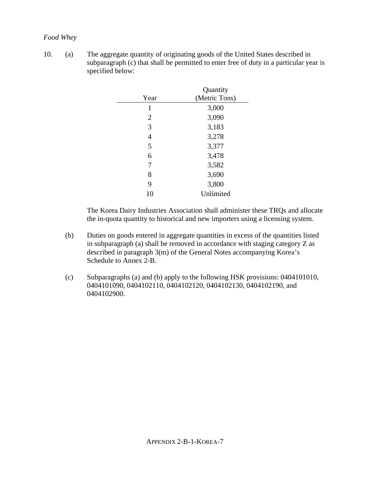# *Food Whey*

10. (a) The aggregate quantity of originating goods of the United States described in subparagraph (c) that shall be permitted to enter free of duty in a particular year is specified below:

|                | Quantity      |
|----------------|---------------|
| Year           | (Metric Tons) |
| 1              | 3,000         |
| $\overline{2}$ | 3,090         |
| 3              | 3,183         |
| 4              | 3,278         |
| 5              | 3,377         |
| 6              | 3,478         |
| 7              | 3,582         |
| 8              | 3,690         |
| 9              | 3,800         |
| 10             | Unlimited     |

The Korea Dairy Industries Association shall administer these TRQs and allocate the in-quota quantity to historical and new importers using a licensing system.

- (b) Duties on goods entered in aggregate quantities in excess of the quantities listed in subparagraph (a) shall be removed in accordance with staging category Z as described in paragraph 3(m) of the General Notes accompanying Korea's Schedule to Annex 2-B.
- (c) Subparagraphs (a) and (b) apply to the following HSK provisions: 0404101010, 0404101090, 0404102110, 0404102120, 0404102130, 0404102190, and 0404102900.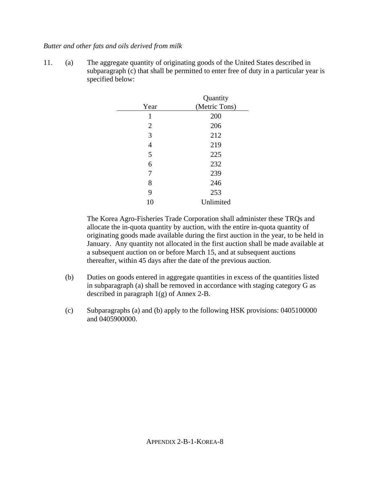# *Butter and other fats and oils derived from milk*

11. (a) The aggregate quantity of originating goods of the United States described in subparagraph (c) that shall be permitted to enter free of duty in a particular year is specified below:

|                | Quantity      |
|----------------|---------------|
| Year           | (Metric Tons) |
| 1              | 200           |
| $\overline{2}$ | 206           |
| 3              | 212           |
| $\overline{4}$ | 219           |
| 5              | 225           |
| 6              | 232           |
| 7              | 239           |
| 8              | 246           |
| 9              | 253           |
| 10             | Unlimited     |

The Korea Agro-Fisheries Trade Corporation shall administer these TRQs and allocate the in-quota quantity by auction, with the entire in-quota quantity of originating goods made available during the first auction in the year, to be held in January. Any quantity not allocated in the first auction shall be made available at a subsequent auction on or before March 15, and at subsequent auctions thereafter, within 45 days after the date of the previous auction.

- (b) Duties on goods entered in aggregate quantities in excess of the quantities listed in subparagraph (a) shall be removed in accordance with staging category G as described in paragraph 1(g) of Annex 2-B.
- (c) Subparagraphs (a) and (b) apply to the following HSK provisions: 0405100000 and 0405900000.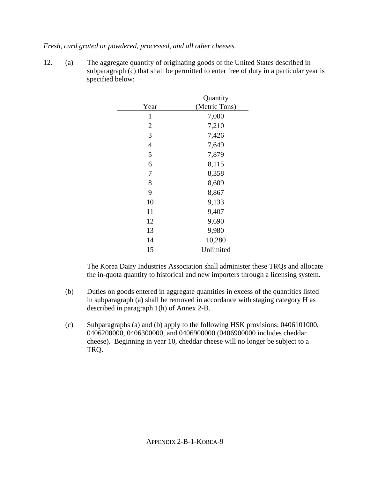*Fresh, curd grated or powdered, processed, and all other cheeses.* 

12. (a) The aggregate quantity of originating goods of the United States described in subparagraph (c) that shall be permitted to enter free of duty in a particular year is specified below:

|                | Quantity      |
|----------------|---------------|
| Year           | (Metric Tons) |
| 1              | 7,000         |
| $\overline{2}$ | 7,210         |
| 3              | 7,426         |
| 4              | 7,649         |
| 5              | 7,879         |
| 6              | 8,115         |
| 7              | 8,358         |
| 8              | 8,609         |
| 9              | 8,867         |
| 10             | 9,133         |
| 11             | 9,407         |
| 12             | 9,690         |
| 13             | 9,980         |
| 14             | 10,280        |
| 15             | Unlimited     |

The Korea Dairy Industries Association shall administer these TRQs and allocate the in-quota quantity to historical and new importers through a licensing system.

- (b) Duties on goods entered in aggregate quantities in excess of the quantities listed in subparagraph (a) shall be removed in accordance with staging category H as described in paragraph 1(h) of Annex 2-B.
- (c) Subparagraphs (a) and (b) apply to the following HSK provisions: 0406101000, 0406200000, 0406300000, and 0406900000 (0406900000 includes cheddar cheese). Beginning in year 10, cheddar cheese will no longer be subject to a TRQ.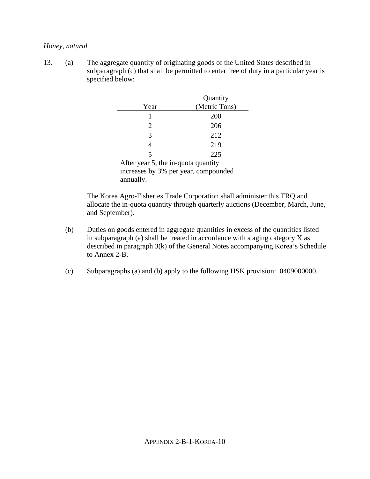# *Honey, natural*

13. (a) The aggregate quantity of originating goods of the United States described in subparagraph (c) that shall be permitted to enter free of duty in a particular year is specified below:

|                                      | Quantity      |
|--------------------------------------|---------------|
| Year                                 | (Metric Tons) |
|                                      | 200           |
| 2                                    | 206           |
| 3                                    | 212           |
| 4                                    | 219           |
| 5                                    | 225           |
| After year 5, the in-quota quantity  |               |
| increases by 3% per year, compounded |               |
| annually.                            |               |

The Korea Agro-Fisheries Trade Corporation shall administer this TRQ and allocate the in-quota quantity through quarterly auctions (December, March, June, and September).

- (b) Duties on goods entered in aggregate quantities in excess of the quantities listed in subparagraph (a) shall be treated in accordance with staging category X as described in paragraph 3(k) of the General Notes accompanying Korea's Schedule to Annex 2-B.
- (c) Subparagraphs (a) and (b) apply to the following HSK provision: 0409000000.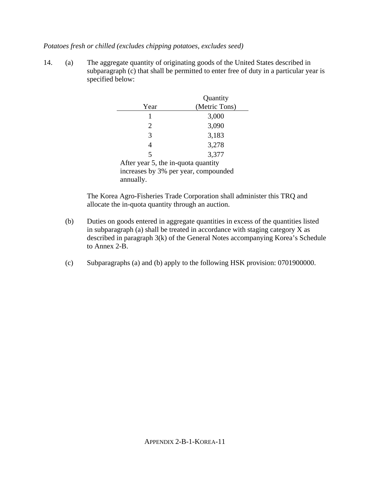# *Potatoes fresh or chilled (excludes chipping potatoes, excludes seed)*

14. (a) The aggregate quantity of originating goods of the United States described in subparagraph (c) that shall be permitted to enter free of duty in a particular year is specified below:

|                                      | Quantity      |
|--------------------------------------|---------------|
| Year                                 | (Metric Tons) |
|                                      | 3,000         |
| 2                                    | 3,090         |
| 3                                    | 3,183         |
| $\overline{4}$                       | 3,278         |
| 5                                    | 3,377         |
| After year 5, the in-quota quantity  |               |
| increases by 3% per year, compounded |               |
| annually.                            |               |

The Korea Agro-Fisheries Trade Corporation shall administer this TRQ and allocate the in-quota quantity through an auction.

- (b) Duties on goods entered in aggregate quantities in excess of the quantities listed in subparagraph (a) shall be treated in accordance with staging category X as described in paragraph 3(k) of the General Notes accompanying Korea's Schedule to Annex 2-B.
- (c) Subparagraphs (a) and (b) apply to the following HSK provision: 0701900000.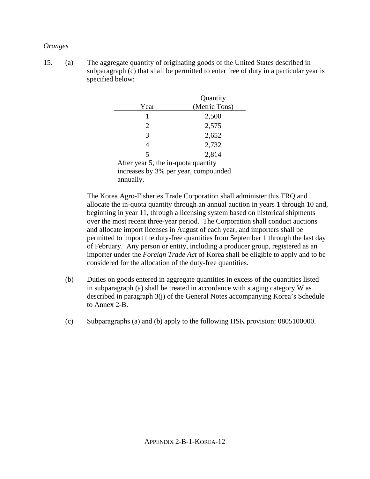#### *Oranges*

15. (a) The aggregate quantity of originating goods of the United States described in subparagraph (c) that shall be permitted to enter free of duty in a particular year is specified below:

|                                      | Quantity      |
|--------------------------------------|---------------|
| Year                                 | (Metric Tons) |
| 1                                    | 2,500         |
| $\overline{2}$                       | 2,575         |
| 3                                    | 2,652         |
| 4                                    | 2,732         |
| 5                                    | 2,814         |
| After year 5, the in-quota quantity  |               |
| increases by 3% per year, compounded |               |
| annually.                            |               |

The Korea Agro-Fisheries Trade Corporation shall administer this TRQ and allocate the in-quota quantity through an annual auction in years 1 through 10 and, beginning in year 11, through a licensing system based on historical shipments over the most recent three-year period. The Corporation shall conduct auctions and allocate import licenses in August of each year, and importers shall be permitted to import the duty-free quantities from September 1 through the last day of February. Any person or entity, including a producer group, registered as an importer under the *Foreign Trade Act* of Korea shall be eligible to apply and to be considered for the allocation of the duty-free quantities.

- (b) Duties on goods entered in aggregate quantities in excess of the quantities listed in subparagraph (a) shall be treated in accordance with staging category W as described in paragraph 3(j) of the General Notes accompanying Korea's Schedule to Annex 2-B.
- (c) Subparagraphs (a) and (b) apply to the following HSK provision: 0805100000.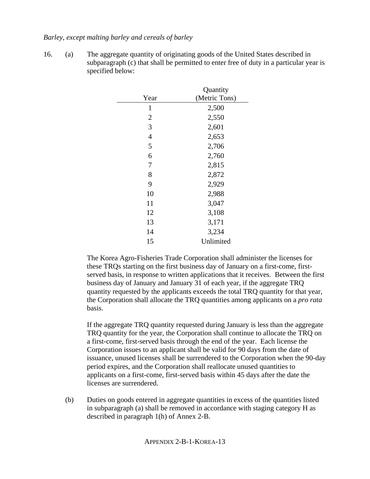# *Barley, except malting barley and cereals of barley*

16. (a) The aggregate quantity of originating goods of the United States described in subparagraph (c) that shall be permitted to enter free of duty in a particular year is specified below:

|                | Quantity      |
|----------------|---------------|
| Year           | (Metric Tons) |
| $\mathbf{1}$   | 2,500         |
| $\overline{2}$ | 2,550         |
| 3              | 2,601         |
| $\overline{4}$ | 2,653         |
| 5              | 2,706         |
| 6              | 2,760         |
| 7              | 2,815         |
| 8              | 2,872         |
| 9              | 2,929         |
| 10             | 2,988         |
| 11             | 3,047         |
| 12             | 3,108         |
| 13             | 3,171         |
| 14             | 3,234         |
| 15             | Unlimited     |

The Korea Agro-Fisheries Trade Corporation shall administer the licenses for these TRQs starting on the first business day of January on a first-come, firstserved basis, in response to written applications that it receives. Between the first business day of January and January 31 of each year, if the aggregate TRQ quantity requested by the applicants exceeds the total TRQ quantity for that year, the Corporation shall allocate the TRQ quantities among applicants on a *pro rata* basis.

If the aggregate TRQ quantity requested during January is less than the aggregate TRQ quantity for the year, the Corporation shall continue to allocate the TRQ on a first-come, first-served basis through the end of the year. Each license the Corporation issues to an applicant shall be valid for 90 days from the date of issuance, unused licenses shall be surrendered to the Corporation when the 90-day period expires, and the Corporation shall reallocate unused quantities to applicants on a first-come, first-served basis within 45 days after the date the licenses are surrendered.

(b) Duties on goods entered in aggregate quantities in excess of the quantities listed in subparagraph (a) shall be removed in accordance with staging category H as described in paragraph 1(h) of Annex 2-B.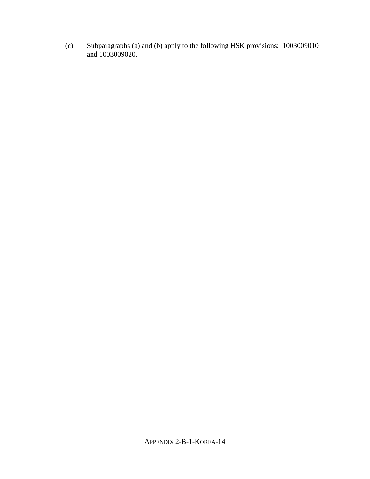(c) Subparagraphs (a) and (b) apply to the following HSK provisions: 1003009010 and 1003009020.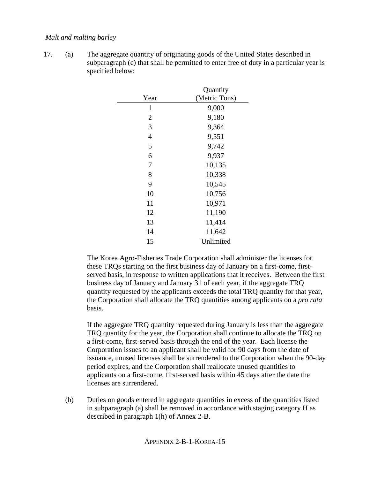# *Malt and malting barley*

17. (a) The aggregate quantity of originating goods of the United States described in subparagraph (c) that shall be permitted to enter free of duty in a particular year is specified below:

|                | Quantity      |
|----------------|---------------|
| Year           | (Metric Tons) |
| $\mathbf{1}$   | 9,000         |
| $\overline{2}$ | 9,180         |
| 3              | 9,364         |
| $\overline{4}$ | 9,551         |
| 5              | 9,742         |
| 6              | 9,937         |
| 7              | 10,135        |
| 8              | 10,338        |
| 9              | 10,545        |
| 10             | 10,756        |
| 11             | 10,971        |
| 12             | 11,190        |
| 13             | 11,414        |
| 14             | 11,642        |
| 15             | Unlimited     |

The Korea Agro-Fisheries Trade Corporation shall administer the licenses for these TRQs starting on the first business day of January on a first-come, firstserved basis, in response to written applications that it receives. Between the first business day of January and January 31 of each year, if the aggregate TRQ quantity requested by the applicants exceeds the total TRQ quantity for that year, the Corporation shall allocate the TRQ quantities among applicants on a *pro rata* basis.

If the aggregate TRQ quantity requested during January is less than the aggregate TRQ quantity for the year, the Corporation shall continue to allocate the TRQ on a first-come, first-served basis through the end of the year. Each license the Corporation issues to an applicant shall be valid for 90 days from the date of issuance, unused licenses shall be surrendered to the Corporation when the 90-day period expires, and the Corporation shall reallocate unused quantities to applicants on a first-come, first-served basis within 45 days after the date the licenses are surrendered.

(b) Duties on goods entered in aggregate quantities in excess of the quantities listed in subparagraph (a) shall be removed in accordance with staging category H as described in paragraph 1(h) of Annex 2-B.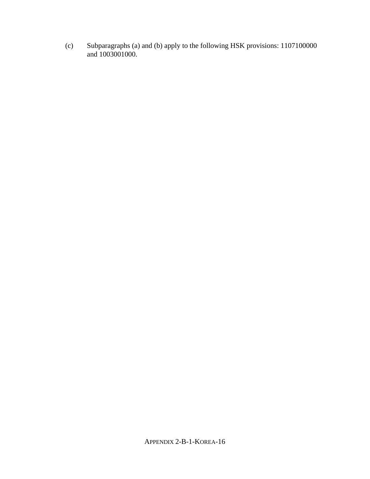(c) Subparagraphs (a) and (b) apply to the following HSK provisions: 1107100000 and 1003001000.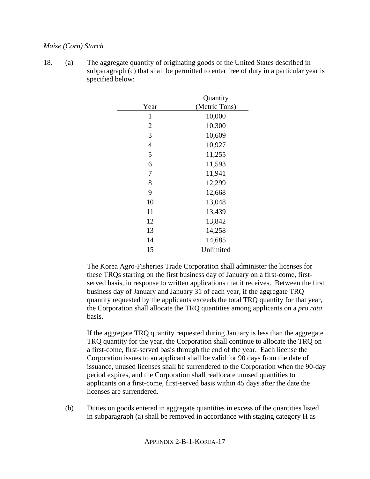# *Maize (Corn) Starch*

18. (a) The aggregate quantity of originating goods of the United States described in subparagraph (c) that shall be permitted to enter free of duty in a particular year is specified below:

|                | Quantity      |
|----------------|---------------|
| Year           | (Metric Tons) |
| 1              | 10,000        |
| $\overline{2}$ | 10,300        |
| 3              | 10,609        |
| $\overline{4}$ | 10,927        |
| 5              | 11,255        |
| 6              | 11,593        |
| 7              | 11,941        |
| 8              | 12,299        |
| 9              | 12,668        |
| 10             | 13,048        |
| 11             | 13,439        |
| 12             | 13,842        |
| 13             | 14,258        |
| 14             | 14,685        |
| 15             | Unlimited     |

The Korea Agro-Fisheries Trade Corporation shall administer the licenses for these TRQs starting on the first business day of January on a first-come, firstserved basis, in response to written applications that it receives. Between the first business day of January and January 31 of each year, if the aggregate TRQ quantity requested by the applicants exceeds the total TRQ quantity for that year, the Corporation shall allocate the TRQ quantities among applicants on a *pro rata* basis.

If the aggregate TRQ quantity requested during January is less than the aggregate TRQ quantity for the year, the Corporation shall continue to allocate the TRQ on a first-come, first-served basis through the end of the year. Each license the Corporation issues to an applicant shall be valid for 90 days from the date of issuance, unused licenses shall be surrendered to the Corporation when the 90-day period expires, and the Corporation shall reallocate unused quantities to applicants on a first-come, first-served basis within 45 days after the date the licenses are surrendered.

(b) Duties on goods entered in aggregate quantities in excess of the quantities listed in subparagraph (a) shall be removed in accordance with staging category H as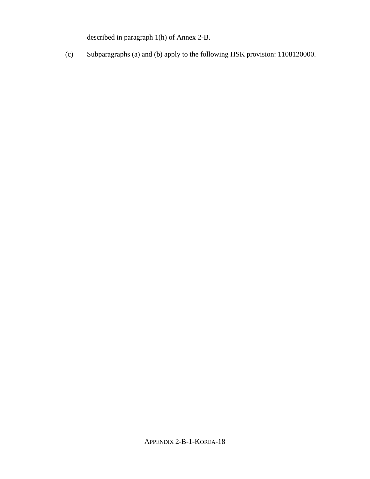described in paragraph 1(h) of Annex 2-B.

(c) Subparagraphs (a) and (b) apply to the following HSK provision: 1108120000.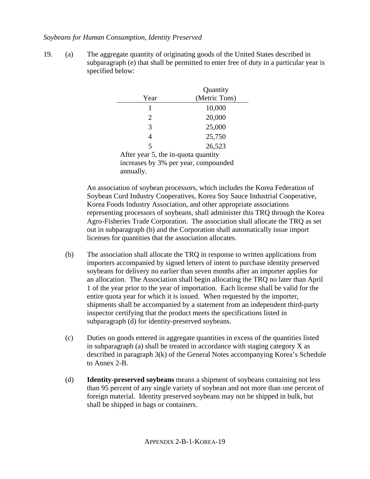# *Soybeans for Human Consumption, Identity Preserved*

19. (a) The aggregate quantity of originating goods of the United States described in subparagraph (e) that shall be permitted to enter free of duty in a particular year is specified below:

|                                      | Quantity      |
|--------------------------------------|---------------|
| Year                                 | (Metric Tons) |
|                                      | 10,000        |
| 2                                    | 20,000        |
| 3                                    | 25,000        |
| 4                                    | 25,750        |
| 5                                    | 26,523        |
| After year 5, the in-quota quantity  |               |
| increases by 3% per year, compounded |               |
| annually.                            |               |

An association of soybean processors, which includes the Korea Federation of Soybean Curd Industry Cooperatives, Korea Soy Sauce Industrial Cooperative, Korea Foods Industry Association, and other appropriate associations representing processors of soybeans, shall administer this TRQ through the Korea Agro-Fisheries Trade Corporation. The association shall allocate the TRQ as set out in subparagraph (b) and the Corporation shall automatically issue import licenses for quantities that the association allocates.

- (b) The association shall allocate the TRQ in response to written applications from importers accompanied by signed letters of intent to purchase identity preserved soybeans for delivery no earlier than seven months after an importer applies for an allocation. The Association shall begin allocating the TRQ no later than April 1 of the year prior to the year of importation. Each license shall be valid for the entire quota year for which it is issued. When requested by the importer, shipments shall be accompanied by a statement from an independent third-party inspector certifying that the product meets the specifications listed in subparagraph (d) for identity-preserved soybeans.
- (c) Duties on goods entered in aggregate quantities in excess of the quantities listed in subparagraph (a) shall be treated in accordance with staging category X as described in paragraph 3(k) of the General Notes accompanying Korea's Schedule to Annex 2-B.
- (d) **Identity-preserved soybeans** means a shipment of soybeans containing not less than 95 percent of any single variety of soybean and not more than one percent of foreign material. Identity preserved soybeans may not be shipped in bulk, but shall be shipped in bags or containers.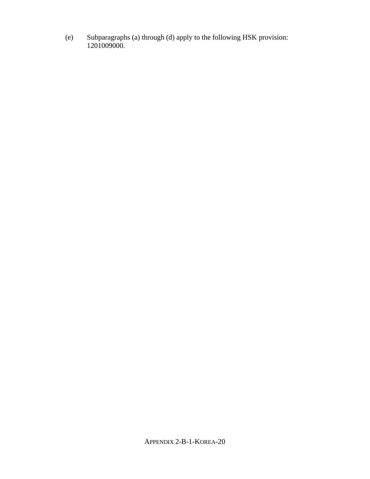(e) Subparagraphs (a) through (d) apply to the following HSK provision: 1201009000.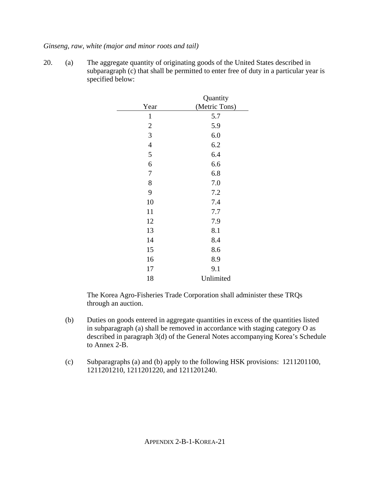#### *Ginseng, raw, white (major and minor roots and tail)*

20. (a) The aggregate quantity of originating goods of the United States described in subparagraph (c) that shall be permitted to enter free of duty in a particular year is specified below:

| Year           | Quantity<br>(Metric Tons) |
|----------------|---------------------------|
| $\mathbf{1}$   | 5.7                       |
| $\overline{c}$ | 5.9                       |
| 3              | 6.0                       |
| $\overline{4}$ | 6.2                       |
| 5              | 6.4                       |
| 6              | 6.6                       |
| 7              | 6.8                       |
| 8              | 7.0                       |
| 9              | 7.2                       |
| 10             | 7.4                       |
| 11             | 7.7                       |
| 12             | 7.9                       |
| 13             | 8.1                       |
| 14             | 8.4                       |
| 15             | 8.6                       |
| 16             | 8.9                       |
| 17             | 9.1                       |
| 18             | Unlimited                 |

The Korea Agro-Fisheries Trade Corporation shall administer these TRQs through an auction.

- (b) Duties on goods entered in aggregate quantities in excess of the quantities listed in subparagraph (a) shall be removed in accordance with staging category O as described in paragraph 3(d) of the General Notes accompanying Korea's Schedule to Annex 2-B.
- (c) Subparagraphs (a) and (b) apply to the following HSK provisions: 1211201100, 1211201210, 1211201220, and 1211201240.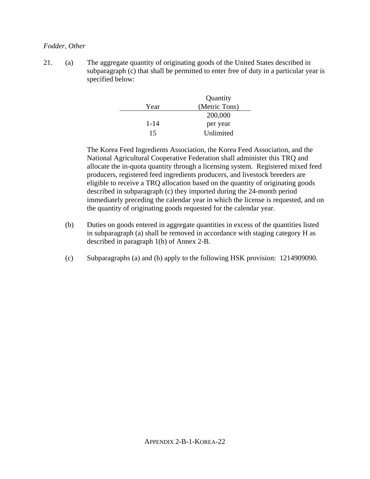## *Fodder, Other*

21. (a) The aggregate quantity of originating goods of the United States described in subparagraph (c) that shall be permitted to enter free of duty in a particular year is specified below:

|          | Quantity      |
|----------|---------------|
| Year     | (Metric Tons) |
|          | 200,000       |
| $1 - 14$ | per year      |
| 15       | Unlimited     |

The Korea Feed Ingredients Association, the Korea Feed Association, and the National Agricultural Cooperative Federation shall administer this TRQ and allocate the in-quota quantity through a licensing system. Registered mixed feed producers, registered feed ingredients producers, and livestock breeders are eligible to receive a TRQ allocation based on the quantity of originating goods described in subparagraph (c) they imported during the 24-month period immediately preceding the calendar year in which the license is requested, and on the quantity of originating goods requested for the calendar year.

- (b) Duties on goods entered in aggregate quantities in excess of the quantities listed in subparagraph (a) shall be removed in accordance with staging category H as described in paragraph 1(h) of Annex 2-B.
- (c) Subparagraphs (a) and (b) apply to the following HSK provision: 1214909090.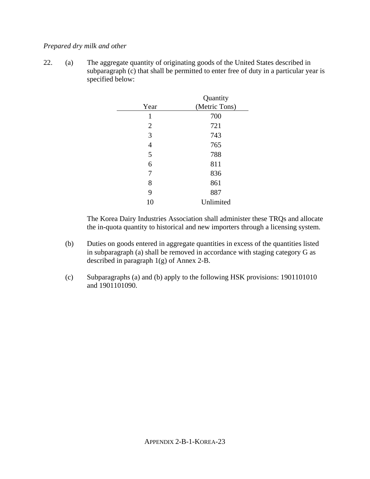# *Prepared dry milk and other*

22. (a) The aggregate quantity of originating goods of the United States described in subparagraph (c) that shall be permitted to enter free of duty in a particular year is specified below:

|                | Quantity      |
|----------------|---------------|
| Year           | (Metric Tons) |
| 1              | 700           |
| $\overline{2}$ | 721           |
| 3              | 743           |
| 4              | 765           |
| 5              | 788           |
| 6              | 811           |
| 7              | 836           |
| 8              | 861           |
| 9              | 887           |
| 10             | Unlimited     |

The Korea Dairy Industries Association shall administer these TRQs and allocate the in-quota quantity to historical and new importers through a licensing system.

- (b) Duties on goods entered in aggregate quantities in excess of the quantities listed in subparagraph (a) shall be removed in accordance with staging category G as described in paragraph 1(g) of Annex 2-B.
- (c) Subparagraphs (a) and (b) apply to the following HSK provisions: 1901101010 and 1901101090.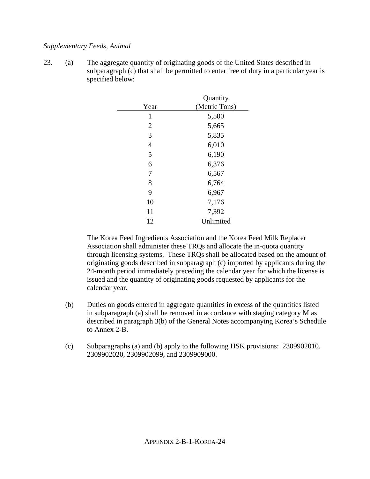# *Supplementary Feeds, Animal*

23. (a) The aggregate quantity of originating goods of the United States described in subparagraph (c) that shall be permitted to enter free of duty in a particular year is specified below:

|                | Quantity      |
|----------------|---------------|
| Year           | (Metric Tons) |
| 1              | 5,500         |
| $\overline{2}$ | 5,665         |
| 3              | 5,835         |
| $\overline{4}$ | 6,010         |
| 5              | 6,190         |
| 6              | 6,376         |
| 7              | 6,567         |
| 8              | 6,764         |
| 9              | 6,967         |
| 10             | 7,176         |
| 11             | 7,392         |
| 12             | Unlimited     |

The Korea Feed Ingredients Association and the Korea Feed Milk Replacer Association shall administer these TRQs and allocate the in-quota quantity through licensing systems. These TRQs shall be allocated based on the amount of originating goods described in subparagraph (c) imported by applicants during the 24-month period immediately preceding the calendar year for which the license is issued and the quantity of originating goods requested by applicants for the calendar year.

- (b) Duties on goods entered in aggregate quantities in excess of the quantities listed in subparagraph (a) shall be removed in accordance with staging category M as described in paragraph 3(b) of the General Notes accompanying Korea's Schedule to Annex 2-B.
- (c) Subparagraphs (a) and (b) apply to the following HSK provisions: 2309902010, 2309902020, 2309902099, and 2309909000.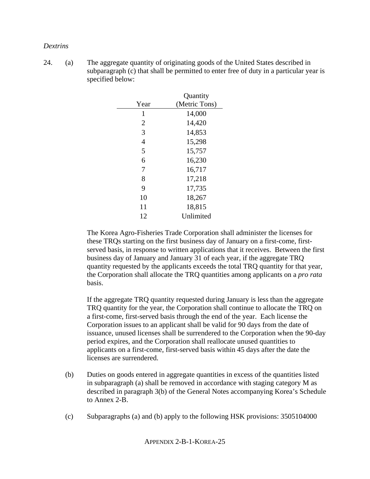#### *Dextrins*

24. (a) The aggregate quantity of originating goods of the United States described in subparagraph (c) that shall be permitted to enter free of duty in a particular year is specified below:

|                | Quantity      |
|----------------|---------------|
| Year           | (Metric Tons) |
| 1              | 14,000        |
| $\overline{2}$ | 14,420        |
| 3              | 14,853        |
| 4              | 15,298        |
| 5              | 15,757        |
| 6              | 16,230        |
| 7              | 16,717        |
| 8              | 17,218        |
| 9              | 17,735        |
| 10             | 18,267        |
| 11             | 18,815        |
| 12             | Unlimited     |

The Korea Agro-Fisheries Trade Corporation shall administer the licenses for these TRQs starting on the first business day of January on a first-come, firstserved basis, in response to written applications that it receives. Between the first business day of January and January 31 of each year, if the aggregate TRQ quantity requested by the applicants exceeds the total TRQ quantity for that year, the Corporation shall allocate the TRQ quantities among applicants on a *pro rata* basis.

If the aggregate TRQ quantity requested during January is less than the aggregate TRQ quantity for the year, the Corporation shall continue to allocate the TRQ on a first-come, first-served basis through the end of the year. Each license the Corporation issues to an applicant shall be valid for 90 days from the date of issuance, unused licenses shall be surrendered to the Corporation when the 90-day period expires, and the Corporation shall reallocate unused quantities to applicants on a first-come, first-served basis within 45 days after the date the licenses are surrendered.

- (b) Duties on goods entered in aggregate quantities in excess of the quantities listed in subparagraph (a) shall be removed in accordance with staging category M as described in paragraph 3(b) of the General Notes accompanying Korea's Schedule to Annex 2-B.
- (c) Subparagraphs (a) and (b) apply to the following HSK provisions: 3505104000